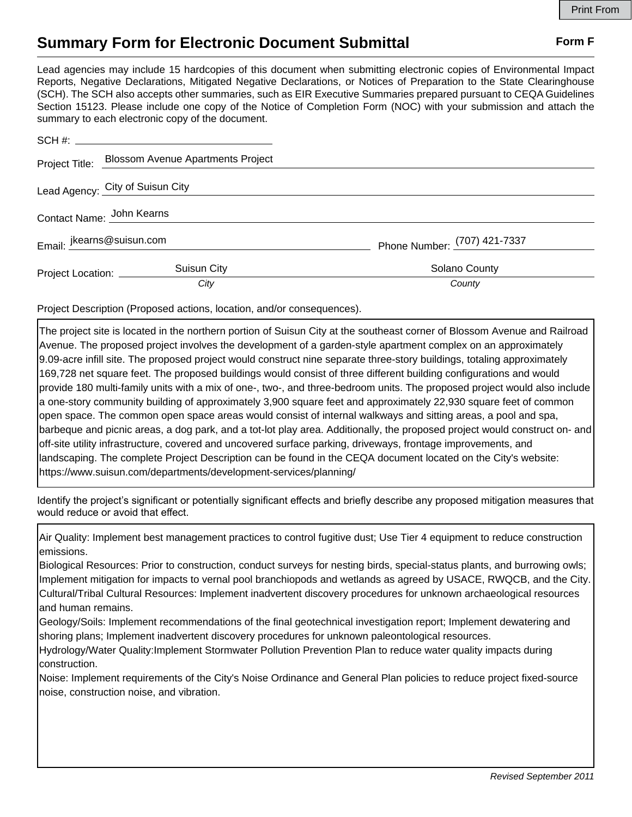## **Summary Form for Electronic Document Submittal Form F Form F**

Lead agencies may include 15 hardcopies of this document when submitting electronic copies of Environmental Impact Reports, Negative Declarations, Mitigated Negative Declarations, or Notices of Preparation to the State Clearinghouse (SCH). The SCH also accepts other summaries, such as EIR Executive Summaries prepared pursuant to CEQA Guidelines Section 15123. Please include one copy of the Notice of Completion Form (NOC) with your submission and attach the summary to each electronic copy of the document.

|                                  | Project Title: Blossom Avenue Apartments Project |                              |
|----------------------------------|--------------------------------------------------|------------------------------|
| Lead Agency: City of Suisun City |                                                  |                              |
| Contact Name: John Kearns        |                                                  |                              |
| Email: jkearns@suisun.com        |                                                  | Phone Number: (707) 421-7337 |
| Project Location: _________      | Suisun City                                      | Solano County                |
|                                  | City                                             | County                       |

Project Description (Proposed actions, location, and/or consequences).

The project site is located in the northern portion of Suisun City at the southeast corner of Blossom Avenue and Railroad Avenue. The proposed project involves the development of a garden-style apartment complex on an approximately 9.09-acre infill site. The proposed project would construct nine separate three-story buildings, totaling approximately 169,728 net square feet. The proposed buildings would consist of three different building configurations and would provide 180 multi-family units with a mix of one-, two-, and three-bedroom units. The proposed project would also include a one-story community building of approximately 3,900 square feet and approximately 22,930 square feet of common open space. The common open space areas would consist of internal walkways and sitting areas, a pool and spa, barbeque and picnic areas, a dog park, and a tot-lot play area. Additionally, the proposed project would construct on- and off-site utility infrastructure, covered and uncovered surface parking, driveways, frontage improvements, and landscaping. The complete Project Description can be found in the CEQA document located on the City's website: https://www.suisun.com/departments/development-services/planning/

Identify the project's significant or potentially significant effects and briefly describe any proposed mitigation measures that would reduce or avoid that effect.

Air Quality: Implement best management practices to control fugitive dust; Use Tier 4 equipment to reduce construction emissions.

Biological Resources: Prior to construction, conduct surveys for nesting birds, special-status plants, and burrowing owls; Implement mitigation for impacts to vernal pool branchiopods and wetlands as agreed by USACE, RWQCB, and the City. Cultural/Tribal Cultural Resources: Implement inadvertent discovery procedures for unknown archaeological resources and human remains.

Geology/Soils: Implement recommendations of the final geotechnical investigation report; Implement dewatering and shoring plans; Implement inadvertent discovery procedures for unknown paleontological resources.

Hydrology/Water Quality:Implement Stormwater Pollution Prevention Plan to reduce water quality impacts during construction.

Noise: Implement requirements of the City's Noise Ordinance and General Plan policies to reduce project fixed-source noise, construction noise, and vibration.